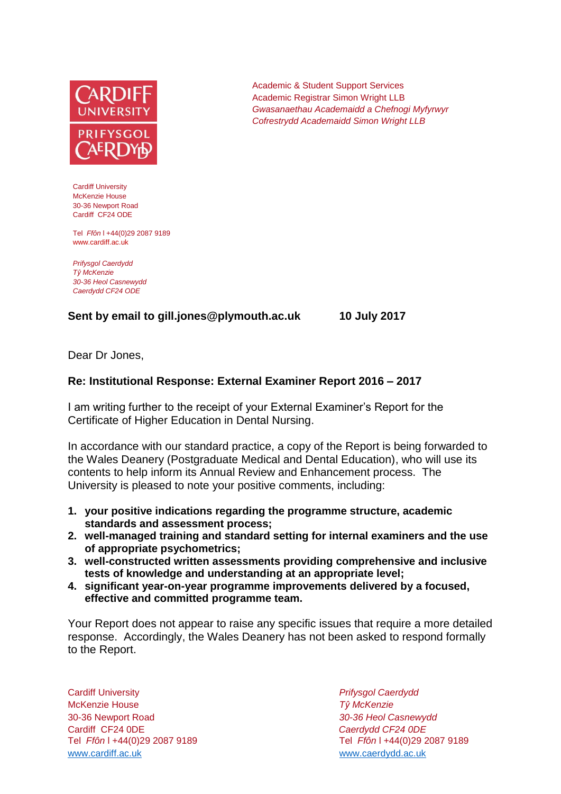

Cardiff University McKenzie House 30-36 Newport Road Cardiff CF24 ODE

Tel *Ffôn* l +44(0)29 2087 9189 www.cardiff.ac.uk

*Prifysgol Caerdydd Tŷ McKenzie 30-36 Heol Casnewydd Caerdydd CF24 ODE*

## **Sent by email to gill.jones@plymouth.ac.uk 10 July 2017**

Dear Dr Jones,

## **Re: Institutional Response: External Examiner Report 2016 – 2017**

I am writing further to the receipt of your External Examiner's Report for the Certificate of Higher Education in Dental Nursing.

In accordance with our standard practice, a copy of the Report is being forwarded to the Wales Deanery (Postgraduate Medical and Dental Education), who will use its contents to help inform its Annual Review and Enhancement process. The University is pleased to note your positive comments, including:

- **1. your positive indications regarding the programme structure, academic standards and assessment process;**
- **2. well-managed training and standard setting for internal examiners and the use of appropriate psychometrics;**
- **3. well-constructed written assessments providing comprehensive and inclusive tests of knowledge and understanding at an appropriate level;**
- **4. significant year-on-year programme improvements delivered by a focused, effective and committed programme team.**

Your Report does not appear to raise any specific issues that require a more detailed response. Accordingly, the Wales Deanery has not been asked to respond formally to the Report.

Cardiff University *Prifysgol Caerdydd* McKenzie House *Tŷ McKenzie* 30-36 Newport Road *30-36 Heol Casnewydd* Cardiff CF24 0DE *Caerdydd CF24 0DE* [www.cardiff.ac.uk](http://www.cardiff.ac.uk/) www.cardiff.ac.uk

Tel *Ffôn* l +44(0)29 2087 9189 Tel *Ffôn* l +44(0)29 2087 9189

Academic & Student Support Services Academic Registrar Simon Wright LLB *Gwasanaethau Academaidd a Chefnogi Myfyrwyr Cofrestrydd Academaidd Simon Wright LLB*